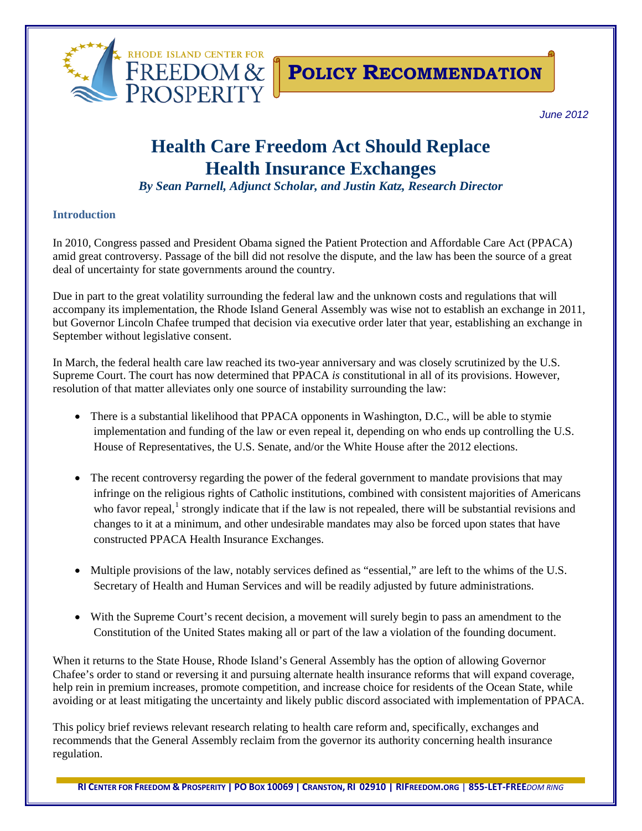

## **POLICY RECOMMENDATION**

*June 2012*

# **Health Care Freedom Act Should Replace Health Insurance Exchanges**

*By Sean Parnell, Adjunct Scholar, and Justin Katz, Research Director*

#### **Introduction**

In 2010, Congress passed and President Obama signed the Patient Protection and Affordable Care Act (PPACA) amid great controversy. Passage of the bill did not resolve the dispute, and the law has been the source of a great deal of uncertainty for state governments around the country.

Due in part to the great volatility surrounding the federal law and the unknown costs and regulations that will accompany its implementation, the Rhode Island General Assembly was wise not to establish an exchange in 2011, but Governor Lincoln Chafee trumped that decision via executive order later that year, establishing an exchange in September without legislative consent.

In March, the federal health care law reached its two-year anniversary and was closely scrutinized by the U.S. Supreme Court. The court has now determined that PPACA *is* constitutional in all of its provisions. However, resolution of that matter alleviates only one source of instability surrounding the law:

- There is a substantial likelihood that PPACA opponents in Washington, D.C., will be able to stymie implementation and funding of the law or even repeal it, depending on who ends up controlling the U.S. House of Representatives, the U.S. Senate, and/or the White House after the 2012 elections.
- The recent controversy regarding the power of the federal government to mandate provisions that may infringe on the religious rights of Catholic institutions, combined with consistent majorities of Americans who favor repeal, $<sup>1</sup>$  $<sup>1</sup>$  $<sup>1</sup>$  strongly indicate that if the law is not repealed, there will be substantial revisions and</sup> changes to it at a minimum, and other undesirable mandates may also be forced upon states that have constructed PPACA Health Insurance Exchanges.
- Multiple provisions of the law, notably services defined as "essential," are left to the whims of the U.S. Secretary of Health and Human Services and will be readily adjusted by future administrations.
- With the Supreme Court's recent decision, a movement will surely begin to pass an amendment to the Constitution of the United States making all or part of the law a violation of the founding document.

When it returns to the State House, Rhode Island's General Assembly has the option of allowing Governor Chafee's order to stand or reversing it and pursuing alternate health insurance reforms that will expand coverage, help rein in premium increases, promote competition, and increase choice for residents of the Ocean State, while avoiding or at least mitigating the uncertainty and likely public discord associated with implementation of PPACA.

This policy brief reviews relevant research relating to health care reform and, specifically, exchanges and recommends that the General Assembly reclaim from the governor its authority concerning health insurance regulation.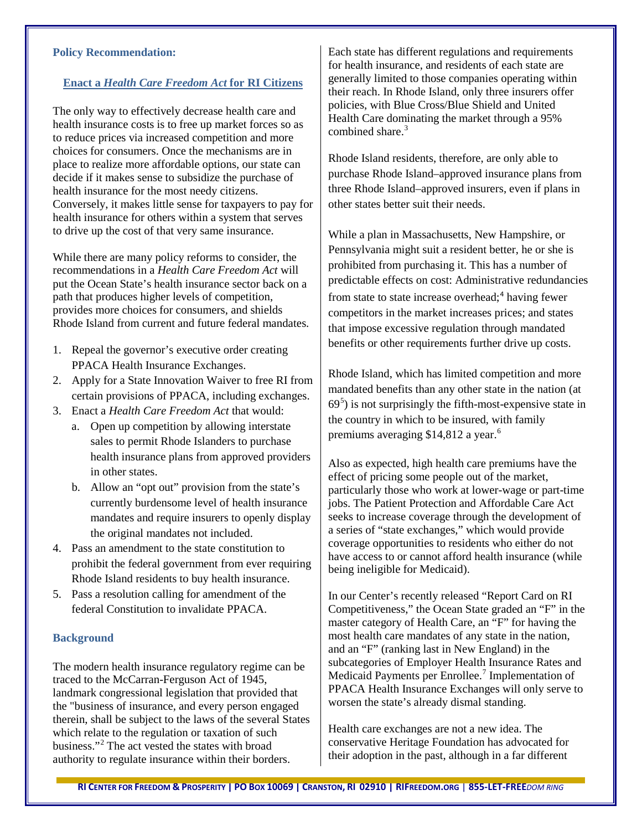#### **Policy Recommendation:**

#### **Enact a** *Health Care Freedom Act* **for RI Citizens**

The only way to effectively decrease health care and health insurance costs is to free up market forces so as to reduce prices via increased competition and more choices for consumers. Once the mechanisms are in place to realize more affordable options, our state can decide if it makes sense to subsidize the purchase of health insurance for the most needy citizens. Conversely, it makes little sense for taxpayers to pay for health insurance for others within a system that serves to drive up the cost of that very same insurance.

While there are many policy reforms to consider, the recommendations in a *Health Care Freedom Act* will put the Ocean State's health insurance sector back on a path that produces higher levels of competition, provides more choices for consumers, and shields Rhode Island from current and future federal mandates.

- 1. Repeal the governor's executive order creating PPACA Health Insurance Exchanges.
- 2. Apply for a State Innovation Waiver to free RI from certain provisions of PPACA, including exchanges.
- 3. Enact a *Health Care Freedom Act* that would:
	- a. Open up competition by allowing interstate sales to permit Rhode Islanders to purchase health insurance plans from approved providers in other states.
	- b. Allow an "opt out" provision from the state's currently burdensome level of health insurance mandates and require insurers to openly display the original mandates not included.
- 4. Pass an amendment to the state constitution to prohibit the federal government from ever requiring Rhode Island residents to buy health insurance.
- 5. Pass a resolution calling for amendment of the federal Constitution to invalidate PPACA.

#### **Background**

The modern health insurance regulatory regime can be traced to the McCarran-Ferguson Act of 1945, landmark congressional legislation that provided that the "business of insurance, and every person engaged therein, shall be subject to the laws of the several States which relate to the regulation or taxation of such business."[2](#page-5-1) The act vested the states with broad authority to regulate insurance within their borders.

Each state has different regulations and requirements for health insurance, and residents of each state are generally limited to those companies operating within their reach. In Rhode Island, only three insurers offer policies, with Blue Cross/Blue Shield and United Health Care dominating the market through a 95% combined share  $3$ 

Rhode Island residents, therefore, are only able to purchase Rhode Island–approved insurance plans from three Rhode Island–approved insurers, even if plans in other states better suit their needs.

While a plan in Massachusetts, New Hampshire, or Pennsylvania might suit a resident better, he or she is prohibited from purchasing it. This has a number of predictable effects on cost: Administrative redundancies from state to state increase overhead; [4](#page-5-3) having fewer competitors in the market increases prices; and states that impose excessive regulation through mandated benefits or other requirements further drive up costs.

Rhode Island, which has limited competition and more mandated benefits than any other state in the nation (at  $69<sup>5</sup>$  $69<sup>5</sup>$  $69<sup>5</sup>$ ) is not surprisingly the fifth-most-expensive state in the country in which to be insured, with family premiums averaging \$14,812 a year.<sup>[6](#page-5-5)</sup>

Also as expected, high health care premiums have the effect of pricing some people out of the market, particularly those who work at lower-wage or part-time jobs. The Patient Protection and Affordable Care Act seeks to increase coverage through the development of a series of "state exchanges," which would provide coverage opportunities to residents who either do not have access to or cannot afford health insurance (while being ineligible for Medicaid).

In our Center's recently released "Report Card on RI Competitiveness," the Ocean State graded an "F" in the master category of Health Care, an "F" for having the most health care mandates of any state in the nation, and an "F" (ranking last in New England) in the subcategories of Employer Health Insurance Rates and Medicaid Payments per Enrollee.<sup>[7](#page-5-6)</sup> Implementation of PPACA Health Insurance Exchanges will only serve to worsen the state's already dismal standing.

Health care exchanges are not a new idea. The conservative Heritage Foundation has advocated for their adoption in the past, although in a far different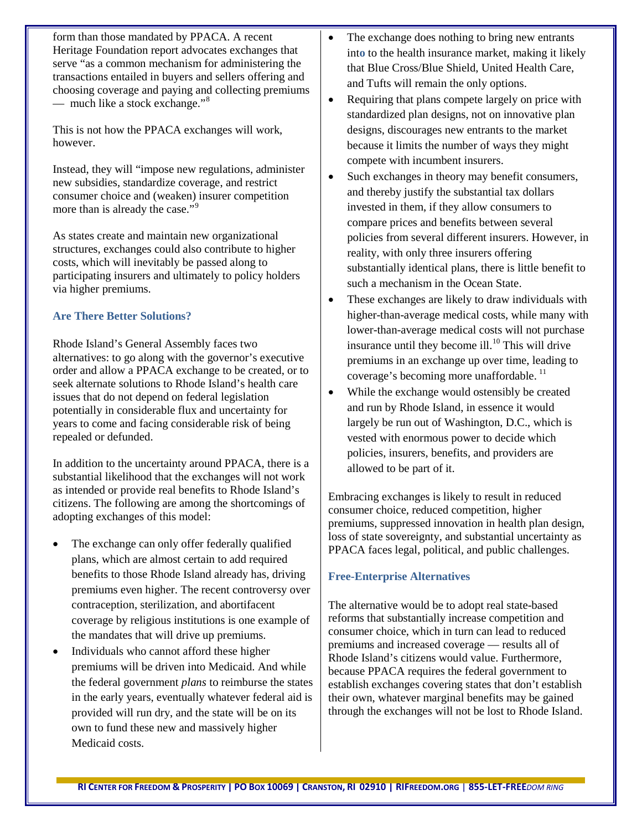form than those mandated by PPACA. A recent Heritage Foundation report advocates exchanges that serve "as a common mechanism for administering the transactions entailed in buyers and sellers offering and choosing coverage and paying and collecting premiums — much like a stock exchange."<sup>[8](#page-5-7)</sup>

This is not how the PPACA exchanges will work, however.

Instead, they will "impose new regulations, administer new subsidies, standardize coverage, and restrict consumer choice and (weaken) insurer competition more than is already the case."<sup>[9](#page-5-8)</sup>

As states create and maintain new organizational structures, exchanges could also contribute to higher costs, which will inevitably be passed along to participating insurers and ultimately to policy holders via higher premiums.

## **Are There Better Solutions?**

Rhode Island's General Assembly faces two alternatives: to go along with the governor's executive order and allow a PPACA exchange to be created, or to seek alternate solutions to Rhode Island's health care issues that do not depend on federal legislation potentially in considerable flux and uncertainty for years to come and facing considerable risk of being repealed or defunded.

In addition to the uncertainty around PPACA, there is a substantial likelihood that the exchanges will not work as intended or provide real benefits to Rhode Island's citizens. The following are among the shortcomings of adopting exchanges of this model:

- The exchange can only offer federally qualified plans, which are almost certain to add required benefits to those Rhode Island already has, driving premiums even higher. The recent controversy over contraception, sterilization, and abortifacent coverage by religious institutions is one example of the mandates that will drive up premiums.
- Individuals who cannot afford these higher premiums will be driven into Medicaid. And while the federal government *plans* to reimburse the states in the early years, eventually whatever federal aid is provided will run dry, and the state will be on its own to fund these new and massively higher Medicaid costs.
- The exchange does nothing to bring new entrants int**o** to the health insurance market, making it likely that Blue Cross/Blue Shield, United Health Care, and Tufts will remain the only options.
- Requiring that plans compete largely on price with standardized plan designs, not on innovative plan designs, discourages new entrants to the market because it limits the number of ways they might compete with incumbent insurers.
- Such exchanges in theory may benefit consumers, and thereby justify the substantial tax dollars invested in them, if they allow consumers to compare prices and benefits between several policies from several different insurers. However, in reality, with only three insurers offering substantially identical plans, there is little benefit to such a mechanism in the Ocean State.
- These exchanges are likely to draw individuals with higher-than-average medical costs, while many with lower-than-average medical costs will not purchase insurance until they become ill. $^{10}$  $^{10}$  $^{10}$  This will drive premiums in an exchange up over time, leading to coverage's becoming more unaffordable.<sup>[11](#page-5-10)</sup>
- While the exchange would ostensibly be created and run by Rhode Island, in essence it would largely be run out of Washington, D.C., which is vested with enormous power to decide which policies, insurers, benefits, and providers are allowed to be part of it.

Embracing exchanges is likely to result in reduced consumer choice, reduced competition, higher premiums, suppressed innovation in health plan design, loss of state sovereignty, and substantial uncertainty as PPACA faces legal, political, and public challenges.

## **Free-Enterprise Alternatives**

The alternative would be to adopt real state-based reforms that substantially increase competition and consumer choice, which in turn can lead to reduced premiums and increased coverage — results all of Rhode Island's citizens would value. Furthermore, because PPACA requires the federal government to establish exchanges covering states that don't establish their own, whatever marginal benefits may be gained through the exchanges will not be lost to Rhode Island.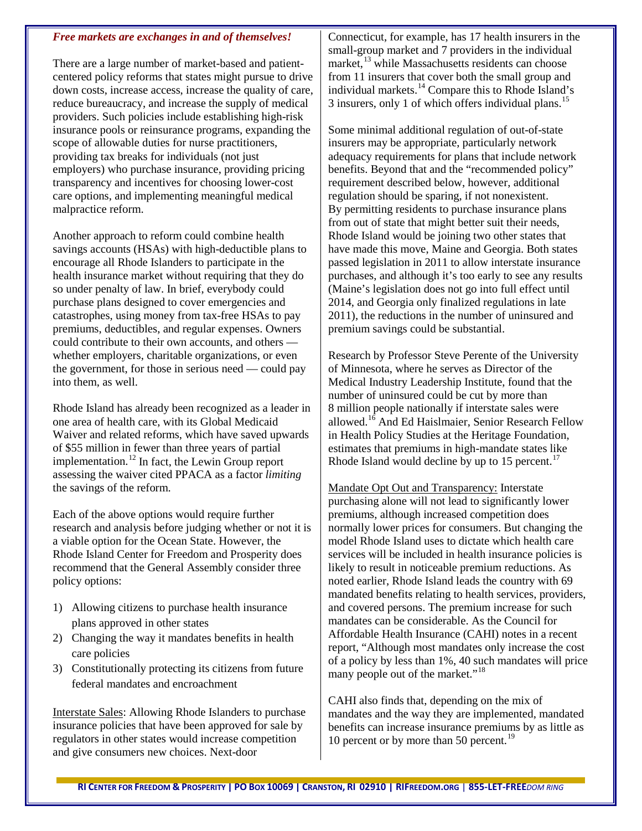#### *Free markets are exchanges in and of themselves!*

There are a large number of market-based and patientcentered policy reforms that states might pursue to drive down costs, increase access, increase the quality of care, reduce bureaucracy, and increase the supply of medical providers. Such policies include establishing high-risk insurance pools or reinsurance programs, expanding the scope of allowable duties for nurse practitioners, providing tax breaks for individuals (not just employers) who purchase insurance, providing pricing transparency and incentives for choosing lower-cost care options, and implementing meaningful medical malpractice reform.

Another approach to reform could combine health savings accounts (HSAs) with high-deductible plans to encourage all Rhode Islanders to participate in the health insurance market without requiring that they do so under penalty of law. In brief, everybody could purchase plans designed to cover emergencies and catastrophes, using money from tax-free HSAs to pay premiums, deductibles, and regular expenses. Owners could contribute to their own accounts, and others whether employers, charitable organizations, or even the government, for those in serious need — could pay into them, as well.

Rhode Island has already been recognized as a leader in one area of health care, with its Global Medicaid Waiver and related reforms, which have saved upwards of \$55 million in fewer than three years of partial implementation.<sup>[12](#page-5-11)</sup> In fact, the Lewin Group report assessing the waiver cited PPACA as a factor *limiting* the savings of the reform.

Each of the above options would require further research and analysis before judging whether or not it is a viable option for the Ocean State. However, the Rhode Island Center for Freedom and Prosperity does recommend that the General Assembly consider three policy options:

- 1) Allowing citizens to purchase health insurance plans approved in other states
- 2) Changing the way it mandates benefits in health care policies
- 3) Constitutionally protecting its citizens from future federal mandates and encroachment

Interstate Sales: Allowing Rhode Islanders to purchase insurance policies that have been approved for sale by regulators in other states would increase competition and give consumers new choices. Next-door

Connecticut, for example, has 17 health insurers in the small-group market and 7 providers in the individual market,<sup>[13](#page-5-12)</sup> while Massachusetts residents can choose from 11 insurers that cover both the small group and individual markets. [14](#page-5-13) Compare this to Rhode Island's 3 insurers, only 1 of which offers individual plans.<sup>[15](#page-5-14)</sup>

Some minimal additional regulation of out-of-state insurers may be appropriate, particularly network adequacy requirements for plans that include network benefits. Beyond that and the "recommended policy" requirement described below, however, additional regulation should be sparing, if not nonexistent. By permitting residents to purchase insurance plans from out of state that might better suit their needs, Rhode Island would be joining two other states that have made this move, Maine and Georgia. Both states passed legislation in 2011 to allow interstate insurance purchases, and although it's too early to see any results (Maine's legislation does not go into full effect until 2014, and Georgia only finalized regulations in late 2011), the reductions in the number of uninsured and premium savings could be substantial.

Research by Professor Steve Perente of the University of Minnesota, where he serves as Director of the Medical Industry Leadership Institute, found that the number of uninsured could be cut by more than 8 million people nationally if interstate sales were allowed.<sup>[16](#page-5-15)</sup> And Ed Haislmaier, Senior Research Fellow in Health Policy Studies at the Heritage Foundation, estimates that premiums in high-mandate states like Rhode Island would decline by up to  $15$  percent.<sup>[17](#page-5-16)</sup>

Mandate Opt Out and Transparency: Interstate purchasing alone will not lead to significantly lower premiums, although increased competition does normally lower prices for consumers. But changing the model Rhode Island uses to dictate which health care services will be included in health insurance policies is likely to result in noticeable premium reductions. As noted earlier, Rhode Island leads the country with 69 mandated benefits relating to health services, providers, and covered persons. The premium increase for such mandates can be considerable. As the Council for Affordable Health Insurance (CAHI) notes in a recent report, "Although most mandates only increase the cost of a policy by less than 1%, 40 such mandates will price many people out of the market."<sup>[18](#page-5-17)</sup>

CAHI also finds that, depending on the mix of mandates and the way they are implemented, mandated benefits can increase insurance premiums by as little as 10 percent or by more than 50 percent.<sup>[19](#page-5-18)</sup>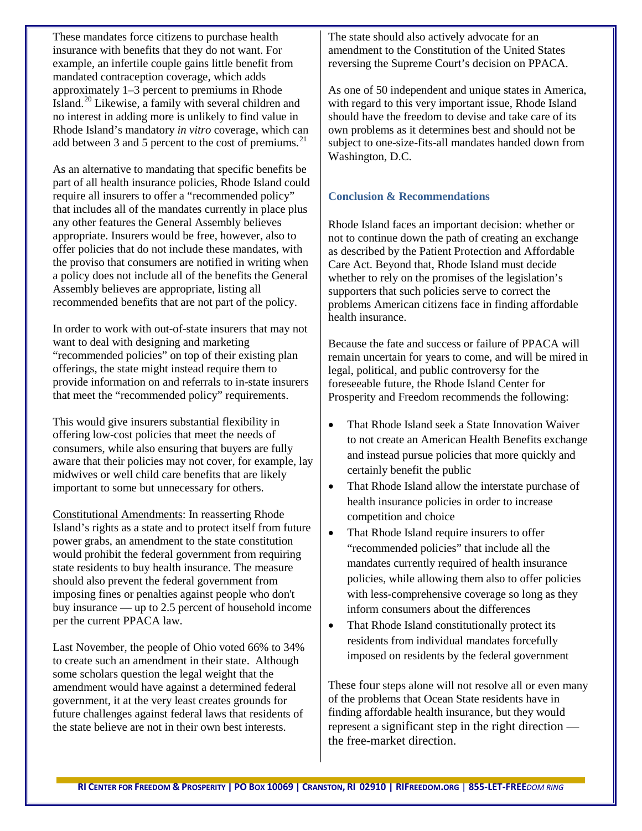These mandates force citizens to purchase health insurance with benefits that they do not want. For example, an infertile couple gains little benefit from mandated contraception coverage, which adds approximately 1–3 percent to premiums in Rhode Island.<sup>[20](#page-5-19)</sup> Likewise, a family with several children and no interest in adding more is unlikely to find value in Rhode Island's mandatory *in vitro* coverage, which can add between 3 and 5 percent to the cost of premiums. $^{21}$  $^{21}$  $^{21}$ 

As an alternative to mandating that specific benefits be part of all health insurance policies, Rhode Island could require all insurers to offer a "recommended policy" that includes all of the mandates currently in place plus any other features the General Assembly believes appropriate. Insurers would be free, however, also to offer policies that do not include these mandates, with the proviso that consumers are notified in writing when a policy does not include all of the benefits the General Assembly believes are appropriate, listing all recommended benefits that are not part of the policy.

In order to work with out-of-state insurers that may not want to deal with designing and marketing "recommended policies" on top of their existing plan offerings, the state might instead require them to provide information on and referrals to in-state insurers that meet the "recommended policy" requirements.

This would give insurers substantial flexibility in offering low-cost policies that meet the needs of consumers, while also ensuring that buyers are fully aware that their policies may not cover, for example, lay midwives or well child care benefits that are likely important to some but unnecessary for others.

Constitutional Amendments: In reasserting Rhode Island's rights as a state and to protect itself from future power grabs, an amendment to the state constitution would prohibit the federal government from requiring state residents to buy health insurance. The measure should also prevent the federal government from imposing fines or penalties against people who don't buy insurance — up to 2.5 percent of household income per the current PPACA law.

Last November, the people of Ohio voted 66% to 34% to create such an amendment in their state. Although some scholars question the legal weight that the amendment would have against a determined federal government, it at the very least creates grounds for future challenges against federal laws that residents of the state believe are not in their own best interests.

The state should also actively advocate for an amendment to the Constitution of the United States reversing the Supreme Court's decision on PPACA.

As one of 50 independent and unique states in America, with regard to this very important issue, Rhode Island should have the freedom to devise and take care of its own problems as it determines best and should not be subject to one-size-fits-all mandates handed down from Washington, D.C.

## **Conclusion & Recommendations**

Rhode Island faces an important decision: whether or not to continue down the path of creating an exchange as described by the Patient Protection and Affordable Care Act. Beyond that, Rhode Island must decide whether to rely on the promises of the legislation's supporters that such policies serve to correct the problems American citizens face in finding affordable health insurance.

Because the fate and success or failure of PPACA will remain uncertain for years to come, and will be mired in legal, political, and public controversy for the foreseeable future, the Rhode Island Center for Prosperity and Freedom recommends the following:

- That Rhode Island seek a State Innovation Waiver to not create an American Health Benefits exchange and instead pursue policies that more quickly and certainly benefit the public
- That Rhode Island allow the interstate purchase of health insurance policies in order to increase competition and choice
- That Rhode Island require insurers to offer "recommended policies" that include all the mandates currently required of health insurance policies, while allowing them also to offer policies with less-comprehensive coverage so long as they inform consumers about the differences
- That Rhode Island constitutionally protect its residents from individual mandates forcefully imposed on residents by the federal government

These four steps alone will not resolve all or even many of the problems that Ocean State residents have in finding affordable health insurance, but they would represent a significant step in the right direction the free-market direction.